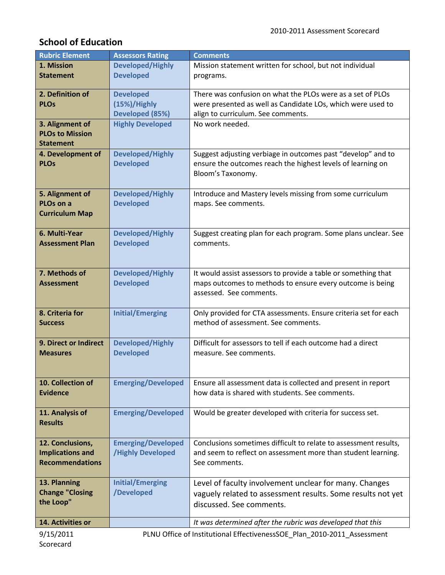# **School of Education**

| <b>Rubric Element</b>                                                                | <b>Assessors Rating</b>   | <b>Comments</b>                                                  |
|--------------------------------------------------------------------------------------|---------------------------|------------------------------------------------------------------|
| 1. Mission                                                                           | <b>Developed/Highly</b>   | Mission statement written for school, but not individual         |
| <b>Statement</b>                                                                     | <b>Developed</b>          | programs.                                                        |
|                                                                                      |                           |                                                                  |
| 2. Definition of                                                                     | <b>Developed</b>          | There was confusion on what the PLOs were as a set of PLOs       |
| <b>PLOs</b>                                                                          | (15%)/Highly              | were presented as well as Candidate LOs, which were used to      |
|                                                                                      | Developed (85%)           | align to curriculum. See comments.                               |
| 3. Alignment of                                                                      | <b>Highly Developed</b>   | No work needed.                                                  |
| <b>PLOs to Mission</b>                                                               |                           |                                                                  |
| <b>Statement</b>                                                                     |                           |                                                                  |
| 4. Development of                                                                    | <b>Developed/Highly</b>   | Suggest adjusting verbiage in outcomes past "develop" and to     |
| <b>PLOs</b>                                                                          |                           |                                                                  |
|                                                                                      | <b>Developed</b>          | ensure the outcomes reach the highest levels of learning on      |
|                                                                                      |                           | Bloom's Taxonomy.                                                |
|                                                                                      |                           |                                                                  |
| 5. Alignment of                                                                      | <b>Developed/Highly</b>   | Introduce and Mastery levels missing from some curriculum        |
| PLO <sub>s</sub> on a                                                                | <b>Developed</b>          | maps. See comments.                                              |
| <b>Curriculum Map</b>                                                                |                           |                                                                  |
|                                                                                      |                           |                                                                  |
| 6. Multi-Year                                                                        | <b>Developed/Highly</b>   | Suggest creating plan for each program. Some plans unclear. See  |
| <b>Assessment Plan</b>                                                               | <b>Developed</b>          | comments.                                                        |
|                                                                                      |                           |                                                                  |
|                                                                                      |                           |                                                                  |
| 7. Methods of                                                                        | <b>Developed/Highly</b>   | It would assist assessors to provide a table or something that   |
| <b>Assessment</b>                                                                    | <b>Developed</b>          | maps outcomes to methods to ensure every outcome is being        |
|                                                                                      |                           | assessed. See comments.                                          |
|                                                                                      |                           |                                                                  |
| 8. Criteria for                                                                      | <b>Initial/Emerging</b>   | Only provided for CTA assessments. Ensure criteria set for each  |
| <b>Success</b>                                                                       |                           | method of assessment. See comments.                              |
|                                                                                      |                           |                                                                  |
| 9. Direct or Indirect                                                                | <b>Developed/Highly</b>   | Difficult for assessors to tell if each outcome had a direct     |
| <b>Measures</b>                                                                      | <b>Developed</b>          | measure. See comments.                                           |
|                                                                                      |                           |                                                                  |
|                                                                                      |                           |                                                                  |
| 10. Collection of                                                                    | <b>Emerging/Developed</b> | Ensure all assessment data is collected and present in report    |
| <b>Evidence</b>                                                                      |                           | how data is shared with students. See comments.                  |
|                                                                                      |                           |                                                                  |
| 11. Analysis of                                                                      | <b>Emerging/Developed</b> | Would be greater developed with criteria for success set.        |
| <b>Results</b>                                                                       |                           |                                                                  |
|                                                                                      |                           |                                                                  |
| 12. Conclusions,                                                                     | <b>Emerging/Developed</b> | Conclusions sometimes difficult to relate to assessment results, |
| <b>Implications and</b>                                                              | <b>/Highly Developed</b>  | and seem to reflect on assessment more than student learning.    |
| <b>Recommendations</b>                                                               |                           | See comments.                                                    |
|                                                                                      |                           |                                                                  |
| 13. Planning                                                                         | <b>Initial/Emerging</b>   | Level of faculty involvement unclear for many. Changes           |
| <b>Change "Closing</b>                                                               | /Developed                |                                                                  |
| the Loop"                                                                            |                           | vaguely related to assessment results. Some results not yet      |
|                                                                                      |                           | discussed. See comments.                                         |
|                                                                                      |                           |                                                                  |
| 14. Activities or                                                                    |                           | It was determined after the rubric was developed that this       |
| 9/15/2011<br>PLNU Office of Institutional EffectivenessSOE_Plan_2010-2011_Assessment |                           |                                                                  |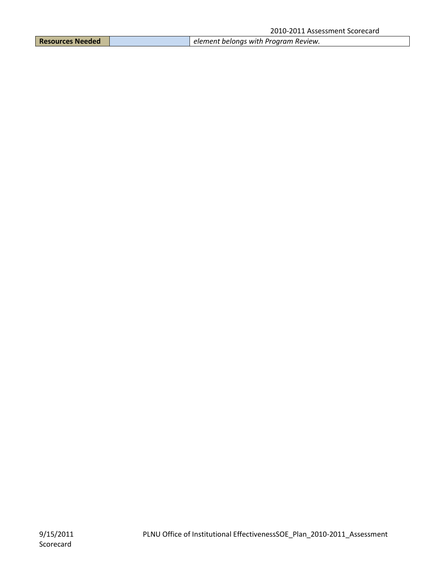|  | <b>Resources Needed</b> |  | element belongs with Program Review. |
|--|-------------------------|--|--------------------------------------|
|--|-------------------------|--|--------------------------------------|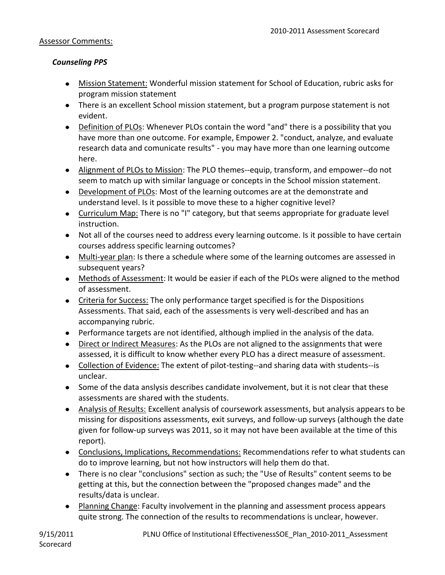#### Assessor Comments:

#### *Counseling PPS*

- Mission Statement: Wonderful mission statement for School of Education, rubric asks for program mission statement
- There is an excellent School mission statement, but a program purpose statement is not evident.
- Definition of PLOs: Whenever PLOs contain the word "and" there is a possibility that you have more than one outcome. For example, Empower 2. "conduct, analyze, and evaluate research data and comunicate results" - you may have more than one learning outcome here.
- Alignment of PLOs to Mission: The PLO themes--equip, transform, and empower--do not seem to match up with similar language or concepts in the School mission statement.
- Development of PLOs: Most of the learning outcomes are at the demonstrate and understand level. Is it possible to move these to a higher cognitive level?
- Curriculum Map: There is no "I" category, but that seems appropriate for graduate level instruction.
- Not all of the courses need to address every learning outcome. Is it possible to have certain courses address specific learning outcomes?
- Multi-year plan: Is there a schedule where some of the learning outcomes are assessed in subsequent years?
- Methods of Assessment: It would be easier if each of the PLOs were aligned to the method of assessment.
- Criteria for Success: The only performance target specified is for the Dispositions Assessments. That said, each of the assessments is very well-described and has an accompanying rubric.
- Performance targets are not identified, although implied in the analysis of the data.
- Direct or Indirect Measures: As the PLOs are not aligned to the assignments that were assessed, it is difficult to know whether every PLO has a direct measure of assessment.
- Collection of Evidence: The extent of pilot-testing--and sharing data with students--is unclear.
- Some of the data anslysis describes candidate involvement, but it is not clear that these assessments are shared with the students.
- Analysis of Results: Excellent analysis of coursework assessments, but analysis appears to be missing for dispositions assessments, exit surveys, and follow-up surveys (although the date given for follow-up surveys was 2011, so it may not have been available at the time of this report).
- Conclusions, Implications, Recommendations: Recommendations refer to what students can do to improve learning, but not how instructors will help them do that.
- There is no clear "conclusions" section as such; the "Use of Results" content seems to be getting at this, but the connection between the "proposed changes made" and the results/data is unclear.
- Planning Change: Faculty involvement in the planning and assessment process appears quite strong. The connection of the results to recommendations is unclear, however.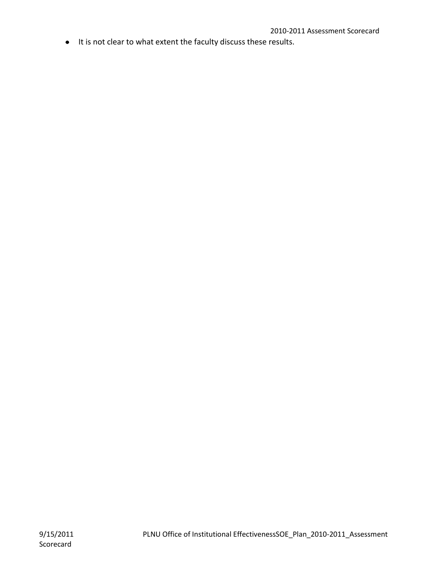$\bullet$  It is not clear to what extent the faculty discuss these results.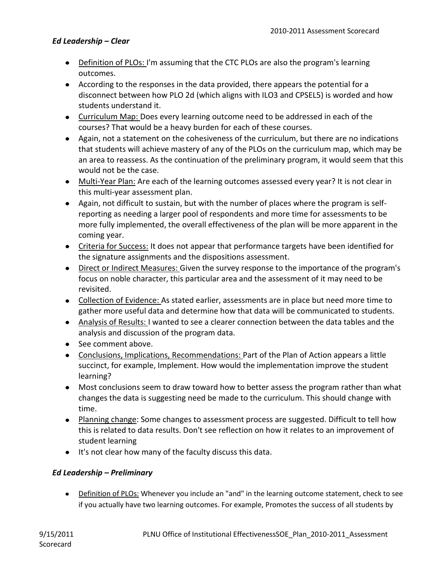#### *Ed Leadership – Clear*

- Definition of PLOs: I'm assuming that the CTC PLOs are also the program's learning outcomes.
- According to the responses in the data provided, there appears the potential for a disconnect between how PLO 2d (which aligns with ILO3 and CPSEL5) is worded and how students understand it.
- Curriculum Map: Does every learning outcome need to be addressed in each of the courses? That would be a heavy burden for each of these courses.
- Again, not a statement on the cohesiveness of the curriculum, but there are no indications that students will achieve mastery of any of the PLOs on the curriculum map, which may be an area to reassess. As the continuation of the preliminary program, it would seem that this would not be the case.
- Multi-Year Plan: Are each of the learning outcomes assessed every year? It is not clear in this multi-year assessment plan.
- Again, not difficult to sustain, but with the number of places where the program is selfreporting as needing a larger pool of respondents and more time for assessments to be more fully implemented, the overall effectiveness of the plan will be more apparent in the coming year.
- Criteria for Success: It does not appear that performance targets have been identified for the signature assignments and the dispositions assessment.
- Direct or Indirect Measures: Given the survey response to the importance of the program's focus on noble character, this particular area and the assessment of it may need to be revisited.
- Collection of Evidence: As stated earlier, assessments are in place but need more time to gather more useful data and determine how that data will be communicated to students.
- Analysis of Results: I wanted to see a clearer connection between the data tables and the analysis and discussion of the program data.
- See comment above.
- Conclusions, Implications, Recommendations: Part of the Plan of Action appears a little succinct, for example, Implement. How would the implementation improve the student learning?
- Most conclusions seem to draw toward how to better assess the program rather than what changes the data is suggesting need be made to the curriculum. This should change with time.
- Planning change: Some changes to assessment process are suggested. Difficult to tell how this is related to data results. Don't see reflection on how it relates to an improvement of student learning
- It's not clear how many of the faculty discuss this data.

#### *Ed Leadership – Preliminary*

• Definition of PLOs: Whenever you include an "and" in the learning outcome statement, check to see if you actually have two learning outcomes. For example, Promotes the success of all students by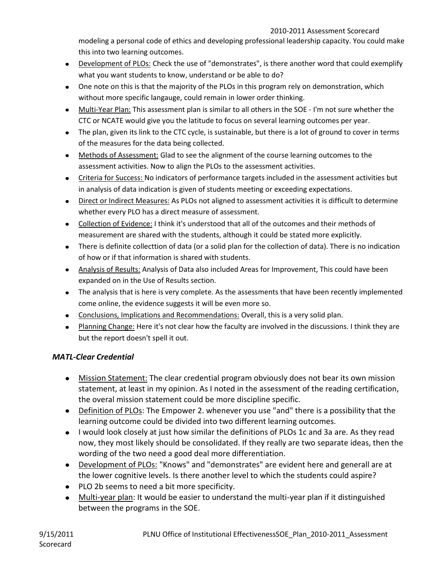modeling a personal code of ethics and developing professional leadership capacity. You could make this into two learning outcomes.

- Development of PLOs: Check the use of "demonstrates", is there another word that could exemplify what you want students to know, understand or be able to do?
- One note on this is that the majority of the PLOs in this program rely on demonstration, which without more specific langauge, could remain in lower order thinking.
- Multi-Year Plan: This assessment plan is similar to all others in the SOE I'm not sure whether the CTC or NCATE would give you the latitude to focus on several learning outcomes per year.
- The plan, given its link to the CTC cycle, is sustainable, but there is a lot of ground to cover in terms of the measures for the data being collected.
- Methods of Assessment: Glad to see the alignment of the course learning outcomes to the assessment activities. Now to align the PLOs to the assessment activities.
- Criteria for Success: No indicators of performance targets included in the assessment activities but in analysis of data indication is given of students meeting or exceeding expectations.
- Direct or Indirect Measures: As PLOs not aligned to assessment activities it is difficult to determine whether every PLO has a direct measure of assessment.
- Collection of Evidence: I think it's understood that all of the outcomes and their methods of measurement are shared with the students, although it could be stated more explicitly.
- There is definite collecttion of data (or a solid plan for the collection of data). There is no indication of how or if that information is shared with students.
- Analysis of Results: Analysis of Data also included Areas for Improvement, This could have been expanded on in the Use of Results section.
- The analysis that is here is very complete. As the assessments that have been recently implemented come online, the evidence suggests it will be even more so.
- Conclusions, Implications and Recommendations: Overall, this is a very solid plan.
- Planning Change: Here it's not clear how the faculty are involved in the discussions. I think they are but the report doesn't spell it out.

## *MATL-Clear Credential*

- Mission Statement: The clear credential program obviously does not bear its own mission statement, at least in my opinion. As I noted in the assessment of the reading certification, the overal mission statement could be more discipline specific.
- Definition of PLOs: The Empower 2. whenever you use "and" there is a possibility that the learning outcome could be divided into two different learning outcomes.
- I would look closely at just how similar the definitions of PLOs 1c and 3a are. As they read now, they most likely should be consolidated. If they really are two separate ideas, then the wording of the two need a good deal more differentiation.
- Development of PLOs: "Knows" and "demonstrates" are evident here and generall are at the lower cognitive levels. Is there another level to which the students could aspire?
- PLO 2b seems to need a bit more specificity.
- Multi-year plan: It would be easier to understand the multi-year plan if it distinguished between the programs in the SOE.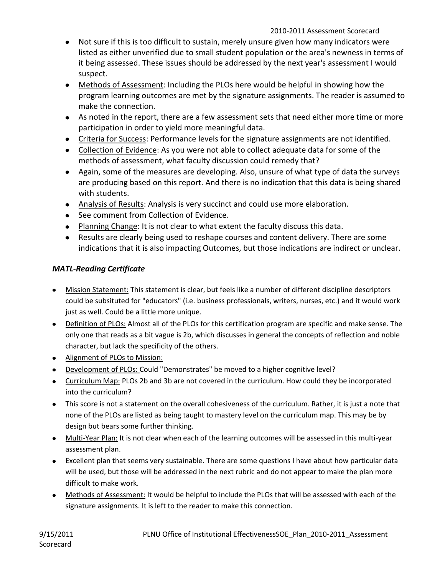- Not sure if this is too difficult to sustain, merely unsure given how many indicators were listed as either unverified due to small student population or the area's newness in terms of it being assessed. These issues should be addressed by the next year's assessment I would suspect.
- Methods of Assessment: Including the PLOs here would be helpful in showing how the program learning outcomes are met by the signature assignments. The reader is assumed to make the connection.
- As noted in the report, there are a few assessment sets that need either more time or more participation in order to yield more meaningful data.
- Criteria for Success: Performance levels for the signature assignments are not identified.
- Collection of Evidence: As you were not able to collect adequate data for some of the methods of assessment, what faculty discussion could remedy that?
- Again, some of the measures are developing. Also, unsure of what type of data the surveys are producing based on this report. And there is no indication that this data is being shared with students.
- Analysis of Results: Analysis is very succinct and could use more elaboration.
- See comment from Collection of Evidence.
- Planning Change: It is not clear to what extent the faculty discuss this data.
- Results are clearly being used to reshape courses and content delivery. There are some indications that it is also impacting Outcomes, but those indications are indirect or unclear.

## *MATL-Reading Certificate*

- Mission Statement: This statement is clear, but feels like a number of different discipline descriptors could be subsituted for "educators" (i.e. business professionals, writers, nurses, etc.) and it would work just as well. Could be a little more unique.
- Definition of PLOs: Almost all of the PLOs for this certification program are specific and make sense. The only one that reads as a bit vague is 2b, which discusses in general the concepts of reflection and noble character, but lack the specificity of the others.
- Alignment of PLOs to Mission:
- Development of PLOs: Could "Demonstrates" be moved to a higher cognitive level?
- Curriculum Map: PLOs 2b and 3b are not covered in the curriculum. How could they be incorporated into the curriculum?
- This score is not a statement on the overall cohesiveness of the curriculum. Rather, it is just a note that none of the PLOs are listed as being taught to mastery level on the curriculum map. This may be by design but bears some further thinking.
- Multi-Year Plan: It is not clear when each of the learning outcomes will be assessed in this multi-year assessment plan.
- Excellent plan that seems very sustainable. There are some questions I have about how particular data will be used, but those will be addressed in the next rubric and do not appear to make the plan more difficult to make work.
- Methods of Assessment: It would be helpful to include the PLOs that will be assessed with each of the signature assignments. It is left to the reader to make this connection.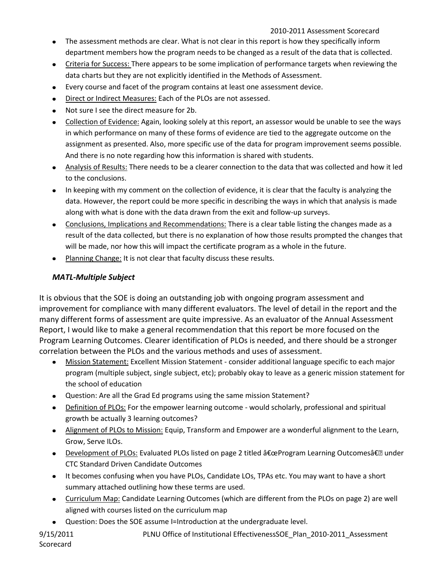- The assessment methods are clear. What is not clear in this report is how they specifically inform department members how the program needs to be changed as a result of the data that is collected.
- Criteria for Success: There appears to be some implication of performance targets when reviewing the data charts but they are not explicitly identified in the Methods of Assessment.
- Every course and facet of the program contains at least one assessment device.
- Direct or Indirect Measures: Each of the PLOs are not assessed.
- Not sure I see the direct measure for 2b.  $\bullet$
- Collection of Evidence: Again, looking solely at this report, an assessor would be unable to see the ways  $\bullet$ in which performance on many of these forms of evidence are tied to the aggregate outcome on the assignment as presented. Also, more specific use of the data for program improvement seems possible. And there is no note regarding how this information is shared with students.
- Analysis of Results: There needs to be a clearer connection to the data that was collected and how it led to the conclusions.
- In keeping with my comment on the collection of evidence, it is clear that the faculty is analyzing the data. However, the report could be more specific in describing the ways in which that analysis is made along with what is done with the data drawn from the exit and follow-up surveys.
- Conclusions, Implications and Recommendations: There is a clear table listing the changes made as a result of the data collected, but there is no explanation of how those results prompted the changes that will be made, nor how this will impact the certificate program as a whole in the future.
- Planning Change: It is not clear that faculty discuss these results.

## *MATL-Multiple Subject*

It is obvious that the SOE is doing an outstanding job with ongoing program assessment and improvement for compliance with many different evaluators. The level of detail in the report and the many different forms of assessment are quite impressive. As an evaluator of the Annual Assessment Report, I would like to make a general recommendation that this report be more focused on the Program Learning Outcomes. Clearer identification of PLOs is needed, and there should be a stronger correlation between the PLOs and the various methods and uses of assessment.

- Mission Statement: Excellent Mission Statement consider additional language specific to each major program (multiple subject, single subject, etc); probably okay to leave as a generic mission statement for the school of education
- Question: Are all the Grad Ed programs using the same mission Statement?
- Definition of PLOs: For the empower learning outcome would scholarly, professional and spiritual growth be actually 3 learning outcomes?
- Alignment of PLOs to Mission: Equip, Transform and Empower are a wonderful alignment to the Learn, Grow, Serve ILOs.
- Development of PLOs: Evaluated PLOs listed on page 2 titled "Program Learning Outcomes― under CTC Standard Driven Candidate Outcomes
- It becomes confusing when you have PLOs, Candidate LOs, TPAs etc. You may want to have a short summary attached outlining how these terms are used.
- Curriculum Map: Candidate Learning Outcomes (which are different from the PLOs on page 2) are well aligned with courses listed on the curriculum map
- Question: Does the SOE assume I=Introduction at the undergraduate level.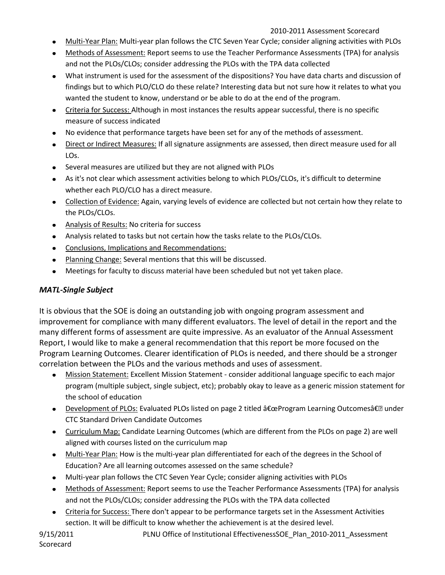- Multi-Year Plan: Multi-year plan follows the CTC Seven Year Cycle; consider aligning activities with PLOs  $\bullet$
- Methods of Assessment: Report seems to use the Teacher Performance Assessments (TPA) for analysis and not the PLOs/CLOs; consider addressing the PLOs with the TPA data collected
- What instrument is used for the assessment of the dispositions? You have data charts and discussion of findings but to which PLO/CLO do these relate? Interesting data but not sure how it relates to what you wanted the student to know, understand or be able to do at the end of the program.
- Criteria for Success: Although in most instances the results appear successful, there is no specific measure of success indicated
- No evidence that performance targets have been set for any of the methods of assessment.
- Direct or Indirect Measures: If all signature assignments are assessed, then direct measure used for all LOs.
- Several measures are utilized but they are not aligned with PLOs
- As it's not clear which assessment activities belong to which PLOs/CLOs, it's difficult to determine whether each PLO/CLO has a direct measure.
- Collection of Evidence: Again, varying levels of evidence are collected but not certain how they relate to the PLOs/CLOs.
- Analysis of Results: No criteria for success
- Analysis related to tasks but not certain how the tasks relate to the PLOs/CLOs.
- Conclusions, Implications and Recommendations:
- Planning Change: Several mentions that this will be discussed.
- Meetings for faculty to discuss material have been scheduled but not yet taken place.

## *MATL-Single Subject*

It is obvious that the SOE is doing an outstanding job with ongoing program assessment and improvement for compliance with many different evaluators. The level of detail in the report and the many different forms of assessment are quite impressive. As an evaluator of the Annual Assessment Report, I would like to make a general recommendation that this report be more focused on the Program Learning Outcomes. Clearer identification of PLOs is needed, and there should be a stronger correlation between the PLOs and the various methods and uses of assessment.

- Mission Statement: Excellent Mission Statement consider additional language specific to each major program (multiple subject, single subject, etc); probably okay to leave as a generic mission statement for the school of education
- Development of PLOs: Evaluated PLOs listed on page 2 titled  $â€ceProgram Learning Outcomes― under$ CTC Standard Driven Candidate Outcomes
- Curriculum Map: Candidate Learning Outcomes (which are different from the PLOs on page 2) are well aligned with courses listed on the curriculum map
- Multi-Year Plan: How is the multi-year plan differentiated for each of the degrees in the School of Education? Are all learning outcomes assessed on the same schedule?
- Multi-year plan follows the CTC Seven Year Cycle; consider aligning activities with PLOs
- Methods of Assessment: Report seems to use the Teacher Performance Assessments (TPA) for analysis and not the PLOs/CLOs; consider addressing the PLOs with the TPA data collected
- Criteria for Success: There don't appear to be performance targets set in the Assessment Activities section. It will be difficult to know whether the achievement is at the desired level.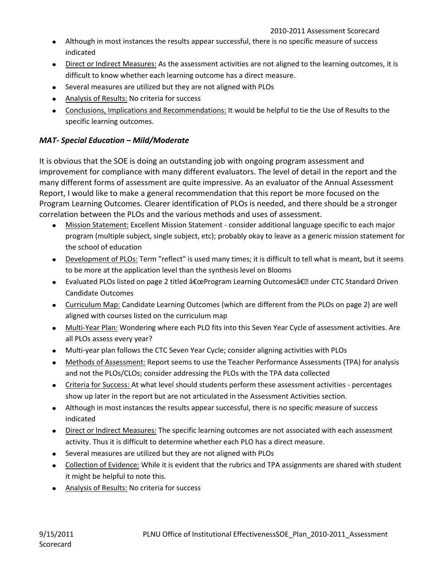- Although in most instances the results appear successful, there is no specific measure of success indicated
- Direct or Indirect Measures: As the assessment activities are not aligned to the learning outcomes, it is difficult to know whether each learning outcome has a direct measure.
- Several measures are utilized but they are not aligned with PLOs
- Analysis of Results: No criteria for success
- Conclusions, Implications and Recommendations: It would be helpful to tie the Use of Results to the specific learning outcomes.

## *MAT- Special Education – Mild/Moderate*

It is obvious that the SOE is doing an outstanding job with ongoing program assessment and improvement for compliance with many different evaluators. The level of detail in the report and the many different forms of assessment are quite impressive. As an evaluator of the Annual Assessment Report, I would like to make a general recommendation that this report be more focused on the Program Learning Outcomes. Clearer identification of PLOs is needed, and there should be a stronger correlation between the PLOs and the various methods and uses of assessment.

- Mission Statement: Excellent Mission Statement consider additional language specific to each major program (multiple subject, single subject, etc); probably okay to leave as a generic mission statement for the school of education
- Development of PLOs: Term "reflect" is used many times; it is difficult to tell what is meant, but it seems to be more at the application level than the synthesis level on Blooms
- Evaluated PLOs listed on page 2 titled  $â€ceProgram Learning Outcomes―$  under CTC Standard Driven Candidate Outcomes
- Curriculum Map: Candidate Learning Outcomes (which are different from the PLOs on page 2) are well aligned with courses listed on the curriculum map
- Multi-Year Plan: Wondering where each PLO fits into this Seven Year Cycle of assessment activities. Are all PLOs assess every year?
- Multi-year plan follows the CTC Seven Year Cycle; consider aligning activities with PLOs
- Methods of Assessment: Report seems to use the Teacher Performance Assessments (TPA) for analysis  $\bullet$ and not the PLOs/CLOs; consider addressing the PLOs with the TPA data collected
- Criteria for Success: At what level should students perform these assessment activities percentages show up later in the report but are not articulated in the Assessment Activities section.
- Although in most instances the results appear successful, there is no specific measure of success indicated
- Direct or Indirect Measures: The specific learning outcomes are not associated with each assessment activity. Thus it is difficult to determine whether each PLO has a direct measure.
- Several measures are utilized but they are not aligned with PLOs
- Collection of Evidence: While it is evident that the rubrics and TPA assignments are shared with student it might be helpful to note this.
- Analysis of Results: No criteria for success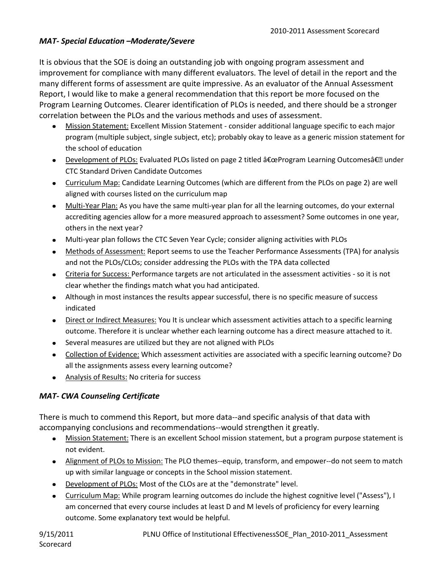## *MAT- Special Education –Moderate/Severe*

It is obvious that the SOE is doing an outstanding job with ongoing program assessment and improvement for compliance with many different evaluators. The level of detail in the report and the many different forms of assessment are quite impressive. As an evaluator of the Annual Assessment Report, I would like to make a general recommendation that this report be more focused on the Program Learning Outcomes. Clearer identification of PLOs is needed, and there should be a stronger correlation between the PLOs and the various methods and uses of assessment.

- Mission Statement: Excellent Mission Statement consider additional language specific to each major program (multiple subject, single subject, etc); probably okay to leave as a generic mission statement for the school of education
- Development of PLOs: Evaluated PLOs listed on page 2 titled "Program Learning Outcomes― under CTC Standard Driven Candidate Outcomes
- Curriculum Map: Candidate Learning Outcomes (which are different from the PLOs on page 2) are well aligned with courses listed on the curriculum map
- Multi-Year Plan: As you have the same multi-year plan for all the learning outcomes, do your external accrediting agencies allow for a more measured approach to assessment? Some outcomes in one year, others in the next year?
- Multi-year plan follows the CTC Seven Year Cycle; consider aligning activities with PLOs
- Methods of Assessment: Report seems to use the Teacher Performance Assessments (TPA) for analysis and not the PLOs/CLOs; consider addressing the PLOs with the TPA data collected
- Criteria for Success: Performance targets are not articulated in the assessment activities so it is not clear whether the findings match what you had anticipated.
- Although in most instances the results appear successful, there is no specific measure of success indicated
- Direct or Indirect Measures: You It is unclear which assessment activities attach to a specific learning outcome. Therefore it is unclear whether each learning outcome has a direct measure attached to it.
- Several measures are utilized but they are not aligned with PLOs
- Collection of Evidence: Which assessment activities are associated with a specific learning outcome? Do all the assignments assess every learning outcome?
- Analysis of Results: No criteria for success

## *MAT- CWA Counseling Certificate*

There is much to commend this Report, but more data--and specific analysis of that data with accompanying conclusions and recommendations--would strengthen it greatly.

- Mission Statement: There is an excellent School mission statement, but a program purpose statement is not evident.
- Alignment of PLOs to Mission: The PLO themes--equip, transform, and empower--do not seem to match up with similar language or concepts in the School mission statement.
- Development of PLOs: Most of the CLOs are at the "demonstrate" level.
- Curriculum Map: While program learning outcomes do include the highest cognitive level ("Assess"), I  $\bullet$ am concerned that every course includes at least D and M levels of proficiency for every learning outcome. Some explanatory text would be helpful.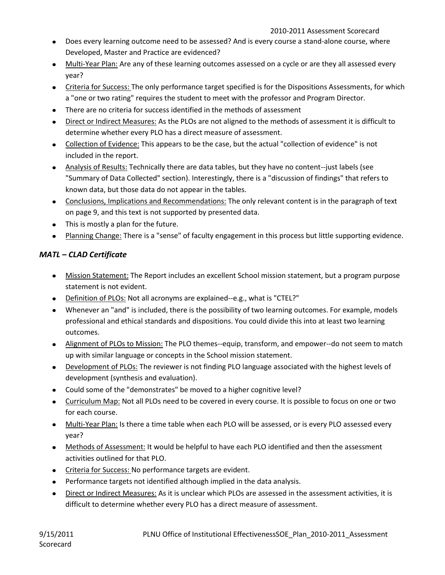- Does every learning outcome need to be assessed? And is every course a stand-alone course, where Developed, Master and Practice are evidenced?
- Multi-Year Plan: Are any of these learning outcomes assessed on a cycle or are they all assessed every year?
- Criteria for Success: The only performance target specified is for the Dispositions Assessments, for which a "one or two rating" requires the student to meet with the professor and Program Director.
- There are no criteria for success identified in the methods of assessment
- Direct or Indirect Measures: As the PLOs are not aligned to the methods of assessment it is difficult to determine whether every PLO has a direct measure of assessment.
- Collection of Evidence: This appears to be the case, but the actual "collection of evidence" is not included in the report.
- Analysis of Results: Technically there are data tables, but they have no content--just labels (see "Summary of Data Collected" section). Interestingly, there is a "discussion of findings" that refers to known data, but those data do not appear in the tables.
- Conclusions, Implications and Recommendations: The only relevant content is in the paragraph of text on page 9, and this text is not supported by presented data.
- This is mostly a plan for the future.
- Planning Change: There is a "sense" of faculty engagement in this process but little supporting evidence.

## *MATL – CLAD Certificate*

- Mission Statement: The Report includes an excellent School mission statement, but a program purpose statement is not evident.
- Definition of PLOs: Not all acronyms are explained--e.g., what is "CTEL?"
- Whenever an "and" is included, there is the possibility of two learning outcomes. For example, models professional and ethical standards and dispositions. You could divide this into at least two learning outcomes.
- Alignment of PLOs to Mission: The PLO themes--equip, transform, and empower--do not seem to match up with similar language or concepts in the School mission statement.
- Development of PLOs: The reviewer is not finding PLO language associated with the highest levels of development (synthesis and evaluation).
- Could some of the "demonstrates" be moved to a higher cognitive level?
- **Curriculum Map: Not all PLOs need to be covered in every course. It is possible to focus on one or two** for each course.
- Multi-Year Plan: Is there a time table when each PLO will be assessed, or is every PLO assessed every year?
- Methods of Assessment: It would be helpful to have each PLO identified and then the assessment activities outlined for that PLO.
- Criteria for Success: No performance targets are evident.
- Performance targets not identified although implied in the data analysis.
- Direct or Indirect Measures: As it is unclear which PLOs are assessed in the assessment activities, it is difficult to determine whether every PLO has a direct measure of assessment.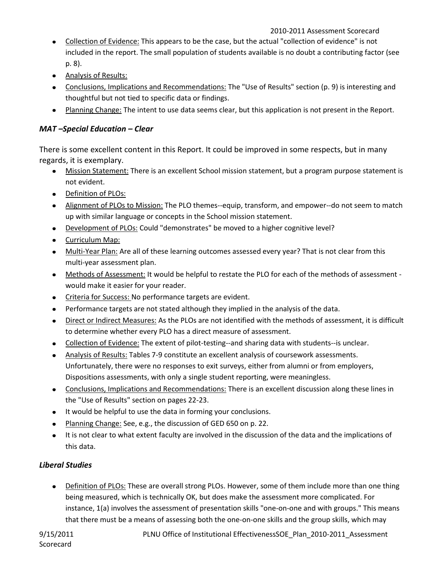- Collection of Evidence: This appears to be the case, but the actual "collection of evidence" is not included in the report. The small population of students available is no doubt a contributing factor (see p. 8).
- Analysis of Results:
- Conclusions, Implications and Recommendations: The "Use of Results" section (p. 9) is interesting and thoughtful but not tied to specific data or findings.
- Planning Change: The intent to use data seems clear, but this application is not present in the Report.

### *MAT –Special Education – Clear*

There is some excellent content in this Report. It could be improved in some respects, but in many regards, it is exemplary.

- Mission Statement: There is an excellent School mission statement, but a program purpose statement is not evident.
- Definition of PLOs:
- Alignment of PLOs to Mission: The PLO themes--equip, transform, and empower--do not seem to match up with similar language or concepts in the School mission statement.
- Development of PLOs: Could "demonstrates" be moved to a higher cognitive level?
- Curriculum Map:  $\bullet$
- Multi-Year Plan: Are all of these learning outcomes assessed every year? That is not clear from this multi-year assessment plan.
- Methods of Assessment: It would be helpful to restate the PLO for each of the methods of assessment would make it easier for your reader.
- Criteria for Success: No performance targets are evident.
- Performance targets are not stated although they implied in the analysis of the data.
- Direct or Indirect Measures: As the PLOs are not identified with the methods of assessment, it is difficult  $\bullet$ to determine whether every PLO has a direct measure of assessment.
- Collection of Evidence: The extent of pilot-testing--and sharing data with students--is unclear.
- Analysis of Results: Tables 7-9 constitute an excellent analysis of coursework assessments. Unfortunately, there were no responses to exit surveys, either from alumni or from employers, Dispositions assessments, with only a single student reporting, were meaningless.
- Conclusions, Implications and Recommendations: There is an excellent discussion along these lines in the "Use of Results" section on pages 22-23.
- It would be helpful to use the data in forming your conclusions.
- Planning Change: See, e.g., the discussion of GED 650 on p. 22.
- It is not clear to what extent faculty are involved in the discussion of the data and the implications of  $\bullet$ this data.

## *Liberal Studies*

Definition of PLOs: These are overall strong PLOs. However, some of them include more than one thing being measured, which is technically OK, but does make the assessment more complicated. For instance, 1(a) involves the assessment of presentation skills "one-on-one and with groups." This means that there must be a means of assessing both the one-on-one skills and the group skills, which may